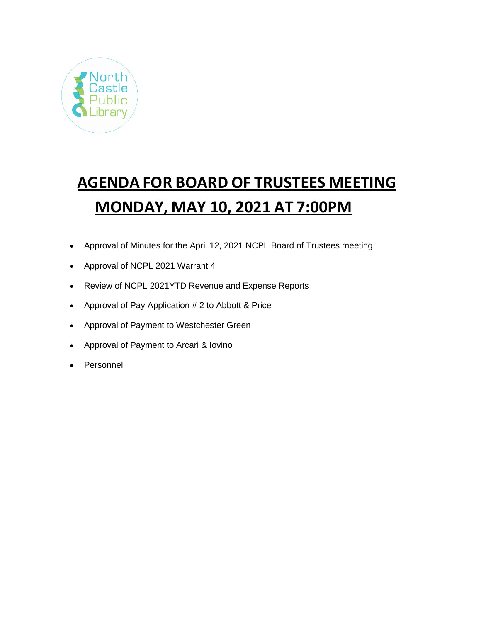

# **AGENDA FOR BOARD OF TRUSTEES MEETING MONDAY, MAY 10, 2021 AT 7:00PM**

- Approval of Minutes for the April 12, 2021 NCPL Board of Trustees meeting
- Approval of NCPL 2021 Warrant 4
- Review of NCPL 2021YTD Revenue and Expense Reports
- Approval of Pay Application # 2 to Abbott & Price
- Approval of Payment to Westchester Green
- Approval of Payment to Arcari & Iovino
- Personnel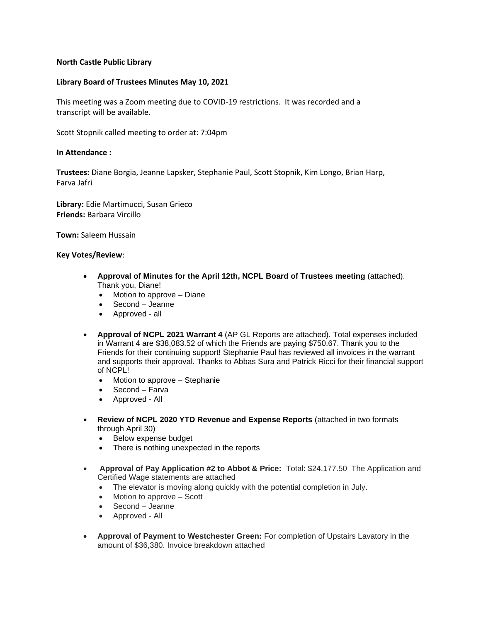## **North Castle Public Library**

### **Library Board of Trustees Minutes May 10, 2021**

This meeting was a Zoom meeting due to COVID-19 restrictions. It was recorded and a transcript will be available.

Scott Stopnik called meeting to order at: 7:04pm

### **In Attendance :**

**Trustees:** Diane Borgia, Jeanne Lapsker, Stephanie Paul, Scott Stopnik, Kim Longo, Brian Harp, Farva Jafri

**Library:** Edie Martimucci, Susan Grieco **Friends:** Barbara Vircillo

**Town:** Saleem Hussain

#### **Key Votes/Review**:

- **Approval of Minutes for the April 12th, NCPL Board of Trustees meeting** (attached). Thank you, Diane!
	- Motion to approve Diane
	- Second Jeanne
	- Approved all
- **Approval of NCPL 2021 Warrant 4** (AP GL Reports are attached). Total expenses included in Warrant 4 are \$38,083.52 of which the Friends are paying \$750.67. Thank you to the Friends for their continuing support! Stephanie Paul has reviewed all invoices in the warrant and supports their approval. Thanks to Abbas Sura and Patrick Ricci for their financial support of NCPL!
	- Motion to approve Stephanie
	- Second Farva
	- Approved All
- **Review of NCPL 2020 YTD Revenue and Expense Reports** (attached in two formats through April 30)
	- Below expense budget
	- There is nothing unexpected in the reports
- **Approval of Pay Application #2 to Abbot & Price:** Total: \$24,177.50 The Application and Certified Wage statements are attached
	- The elevator is moving along quickly with the potential completion in July.
	- Motion to approve Scott
	- Second Jeanne
	- Approved All
- **Approval of Payment to Westchester Green:** For completion of Upstairs Lavatory in the amount of \$36,380. Invoice breakdown attached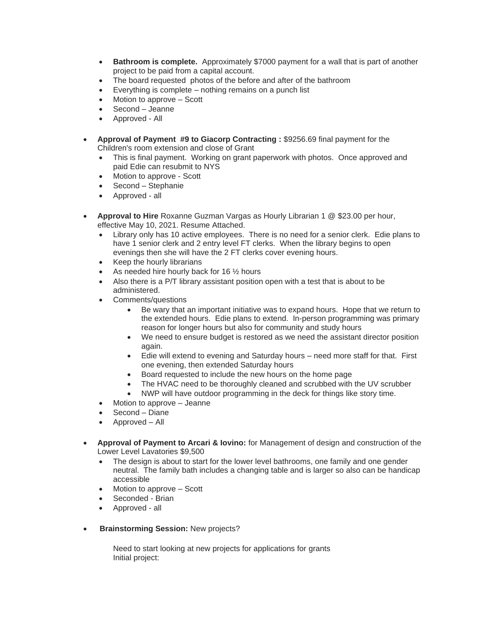- **Bathroom is complete.** Approximately \$7000 payment for a wall that is part of another project to be paid from a capital account.
- The board requested photos of the before and after of the bathroom
- Everything is complete nothing remains on a punch list
- Motion to approve Scott
- Second Jeanne
- Approved All
- **Approval of Payment #9 to Giacorp Contracting :** \$9256.69 final payment for the Children's room extension and close of Grant
	- This is final payment. Working on grant paperwork with photos. Once approved and paid Edie can resubmit to NYS
	- Motion to approve Scott
	- Second Stephanie
	- Approved all
- **Approval to Hire** Roxanne Guzman Vargas as Hourly Librarian 1 @ \$23.00 per hour, effective May 10, 2021. Resume Attached.
	- Library only has 10 active employees. There is no need for a senior clerk. Edie plans to have 1 senior clerk and 2 entry level FT clerks. When the library begins to open evenings then she will have the 2 FT clerks cover evening hours.
	- Keep the hourly librarians
	- As needed hire hourly back for 16 1/2 hours
	- Also there is a P/T library assistant position open with a test that is about to be administered.
	- Comments/questions
		- Be wary that an important initiative was to expand hours. Hope that we return to the extended hours. Edie plans to extend. In-person programming was primary reason for longer hours but also for community and study hours
		- We need to ensure budget is restored as we need the assistant director position again.
		- Edie will extend to evening and Saturday hours need more staff for that. First one evening, then extended Saturday hours
		- Board requested to include the new hours on the home page
		- The HVAC need to be thoroughly cleaned and scrubbed with the UV scrubber
		- NWP will have outdoor programming in the deck for things like story time.
	- Motion to approve Jeanne
	- Second Diane
	- Approved All
- **Approval of Payment to Arcari & Iovino:** for Management of design and construction of the Lower Level Lavatories \$9,500
	- The design is about to start for the lower level bathrooms, one family and one gender neutral. The family bath includes a changing table and is larger so also can be handicap accessible
	- Motion to approve Scott
	- Seconded Brian
	- Approved all
- **Brainstorming Session:** New projects?

Need to start looking at new projects for applications for grants Initial project: